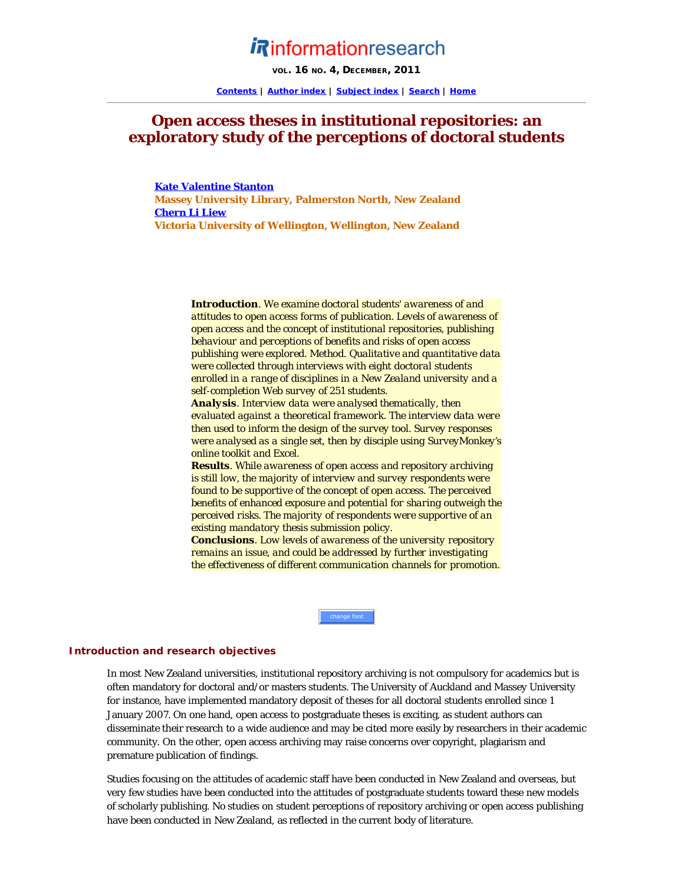# *Rinformationresearch*

VOL. 16 NO. 4, DECEMBER, 2011

**[Contents](http://informationr.net/ir/17-1/infres171.html) | [Author index](http://informationr.net/ir/iraindex.html) | [Subject index](http://informationr.net/ir/irsindex.html) | [Search](http://informationr.net/ir/search.html) | [Home](http://informationr.net/ir/index.html)**

# **Open access theses in institutional repositories: an exploratory study of the perceptions of doctoral students**

**[Kate Valentine Stanton](#page-19-0) Massey University Library, Palmerston North, New Zealand [Chern Li Liew](#page-19-0) Victoria University of Wellington, Wellington, New Zealand**

> *Introduction. We examine doctoral students' awareness of and attitudes to open access forms of publication. Levels of awareness of open access and the concept of institutional repositories, publishing behaviour and perceptions of benefits and risks of open access publishing were explored. Method. Qualitative and quantitative data were collected through interviews with eight doctoral students enrolled in a range of disciplines in a New Zealand university and a self-completion Web survey of 251 students.*

> *Analysis. Interview data were analysed thematically, then evaluated against a theoretical framework. The interview data were then used to inform the design of the survey tool. Survey responses were analysed as a single set, then by disciple using SurveyMonkey's online toolkit and Excel.*

> *Results. While awareness of open access and repository archiving is still low, the majority of interview and survey respondents were found to be supportive of the concept of open access. The perceived benefits of enhanced exposure and potential for sharing outweigh the perceived risks. The majority of respondents were supportive of an existing mandatory thesis submission policy.*

> *Conclusions. Low levels of awareness of the university repository remains an issue, and could be addressed by further investigating the effectiveness of different communication channels for promotion.*

> > change font

# **Introduction and research objectives**

In most New Zealand universities, institutional repository archiving is not compulsory for academics but is often mandatory for doctoral and/or masters students. The University of Auckland and Massey University for instance, have implemented mandatory deposit of theses for all doctoral students enrolled since 1 January 2007. On one hand, open access to postgraduate theses is exciting, as student authors can disseminate their research to a wide audience and may be cited more easily by researchers in their academic community. On the other, open access archiving may raise concerns over copyright, plagiarism and premature publication of findings.

Studies focusing on the attitudes of academic staff have been conducted in New Zealand and overseas, but very few studies have been conducted into the attitudes of postgraduate students toward these new models of scholarly publishing. No studies on student perceptions of repository archiving or open access publishing have been conducted in New Zealand, as reflected in the current body of literature.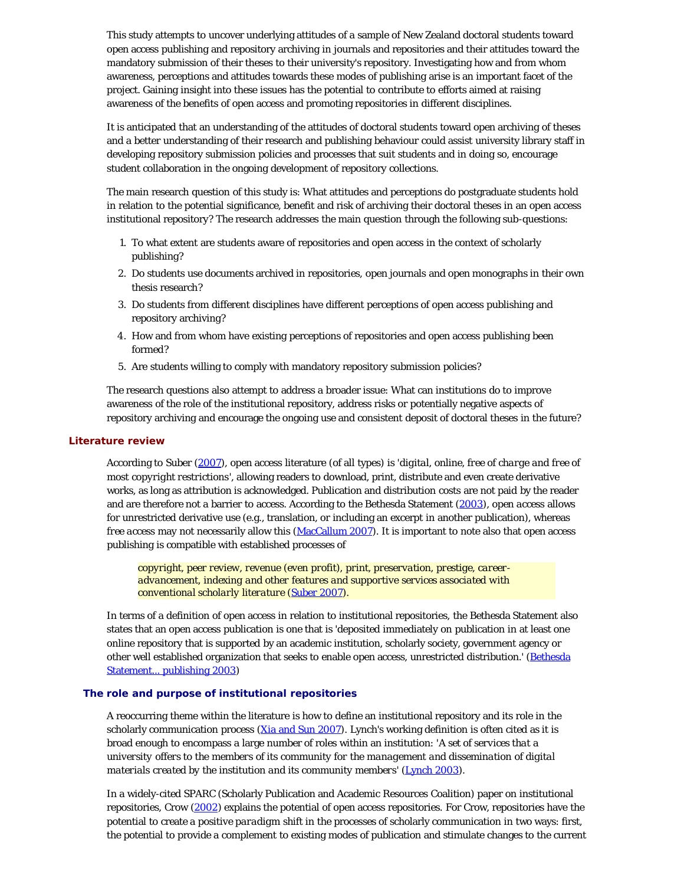This study attempts to uncover underlying attitudes of a sample of New Zealand doctoral students toward open access publishing and repository archiving in journals and repositories and their attitudes toward the mandatory submission of their theses to their university's repository. Investigating how and from whom awareness, perceptions and attitudes towards these modes of publishing arise is an important facet of the project. Gaining insight into these issues has the potential to contribute to efforts aimed at raising awareness of the benefits of open access and promoting repositories in different disciplines.

It is anticipated that an understanding of the attitudes of doctoral students toward open archiving of theses and a better understanding of their research and publishing behaviour could assist university library staff in developing repository submission policies and processes that suit students and in doing so, encourage student collaboration in the ongoing development of repository collections.

The main research question of this study is: What attitudes and perceptions do postgraduate students hold in relation to the potential significance, benefit and risk of archiving their doctoral theses in an open access institutional repository? The research addresses the main question through the following sub-questions:

- 1. To what extent are students aware of repositories and open access in the context of scholarly publishing?
- 2. Do students use documents archived in repositories, open journals and open monographs in their own thesis research?
- 3. Do students from different disciplines have different perceptions of open access publishing and repository archiving?
- 4. How and from whom have existing perceptions of repositories and open access publishing been formed?
- 5. Are students willing to comply with mandatory repository submission policies?

The research questions also attempt to address a broader issue: What can institutions do to improve awareness of the role of the institutional repository, address risks or potentially negative aspects of repository archiving and encourage the ongoing use and consistent deposit of doctoral theses in the future?

# **Literature review**

According to Suber [\(2007\)](#page-21-0), open access literature (of all types) is '*digital, online, free of charge and free of most copyright restrictions*', allowing readers to download, print, distribute and even create derivative works, as long as attribution is acknowledged. Publication and distribution costs are not paid by the reader and are therefore not a barrier to access. According to the Bethesda Statement [\(2003](#page-21-0)), *open access* allows for unrestricted derivative use (e.g., translation, or including an excerpt in another publication), whereas *free access* may not necessarily allow this ([MacCallum 2007\)](#page-21-0). It is important to note also that open access publishing is compatible with established processes of

*copyright, peer review, revenue (even profit), print, preservation, prestige, careeradvancement, indexing and other features and supportive services associated with conventional scholarly literature ([Suber 2007\)](#page-21-0).*

In terms of a definition of open access in relation to institutional repositories, the Bethesda Statement also states that an open access publication is one that is 'deposited immediately on publication in at least one online repository that is supported by an academic institution, scholarly society, government agency or other well established organization that seeks to enable open access, unrestricted distribution.' ([Bethesda](#page-21-0) [Statement... publishing 2003\)](#page-21-0)

# **The role and purpose of institutional repositories**

A reoccurring theme within the literature is how to define an institutional repository and its role in the scholarly communication process [\(Xia and Sun 2007](#page-21-1)). Lynch's working definition is often cited as it is broad enough to encompass a large number of roles within an institution: '*A set of services that a university offers to the members of its community for the management and dissemination of digital materials created by the institution and its community members'* ([Lynch 2003\)](#page-21-0).

In a widely-cited SPARC (Scholarly Publication and Academic Resources Coalition) paper on institutional repositories, Crow ([2002](#page-21-0)) explains the potential of open access repositories. For Crow, repositories have the potential to create a *positive paradigm shift* in the processes of scholarly communication in two ways: first, the potential to provide a complement to existing modes of publication and stimulate changes to the current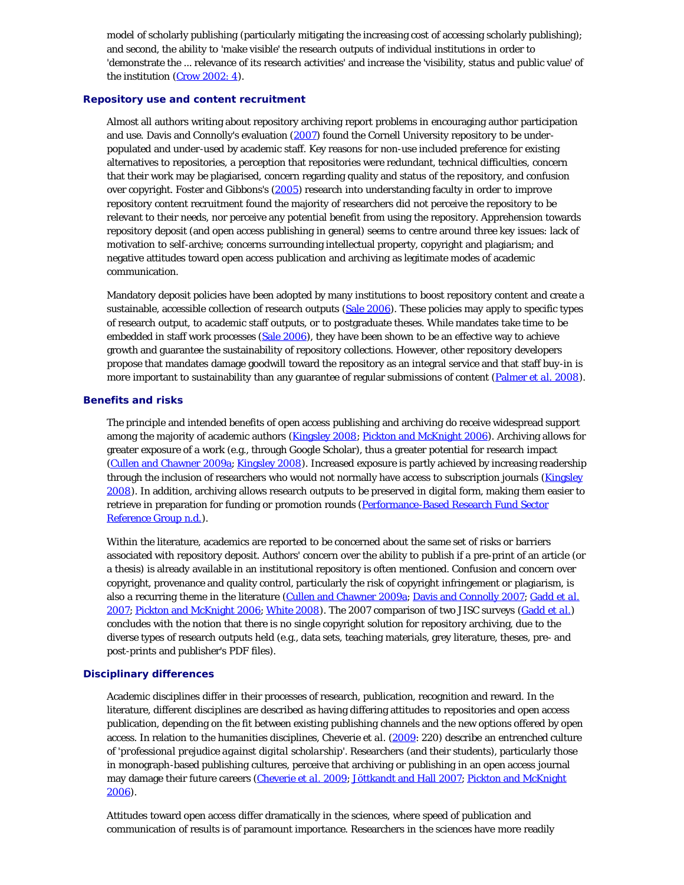model of scholarly publishing (particularly mitigating the increasing cost of accessing scholarly publishing); and second, the ability to 'make visible' the research outputs of individual institutions in order to 'demonstrate the ... relevance of its research activities' and increase the 'visibility, status and public value' of the institution ([Crow 2002: 4\)](#page-21-0).

# **Repository use and content recruitment**

Almost all authors writing about repository archiving report problems in encouraging author participation and use. Davis and Connolly's evaluation ([2007\)](#page-21-0) found the Cornell University repository to be underpopulated and under-used by academic staff. Key reasons for non-use included preference for existing alternatives to repositories, a perception that repositories were redundant, technical difficulties, concern that their work may be plagiarised, concern regarding quality and status of the repository, and confusion over copyright. Foster and Gibbons's [\(2005](#page-21-0)) research into understanding faculty in order to improve repository content recruitment found the majority of researchers did not perceive the repository to be relevant to their needs, nor perceive any potential benefit from using the repository. Apprehension towards repository deposit (and open access publishing in general) seems to centre around three key issues: lack of motivation to self-archive; concerns surrounding intellectual property, copyright and plagiarism; and negative attitudes toward open access publication and archiving as legitimate modes of academic communication.

Mandatory deposit policies have been adopted by many institutions to boost repository content and create a sustainable, accessible collection of research outputs [\(Sale 2006](#page-21-0)). These policies may apply to specific types of research output, to academic staff outputs, or to postgraduate theses. While mandates take time to be embedded in staff work processes [\(Sale 2006](#page-21-0)), they have been shown to be an effective way to achieve growth and guarantee the sustainability of repository collections. However, other repository developers propose that mandates damage goodwill toward the repository as an integral service and that staff buy-in is more important to sustainability than any guarantee of regular submissions of content [\(Palmer](#page-21-0) *[et al.](#page-21-0)* [2008\)](#page-21-0).

#### **Benefits and risks**

The principle and intended benefits of open access publishing and archiving do receive widespread support among the majority of academic authors ([Kingsley 2008; Pickton and McKnight 2006](#page-21-0)). Archiving allows for greater exposure of a work (e.g., through Google Scholar), thus a greater potential for research impact ([Cullen and Chawner 2009a](#page-21-0); [Kingsley 2008](#page-21-0)). Increased exposure is partly achieved by increasing readership through the inclusion of researchers who would not normally have access to subscription journals ([Kingsley](#page-21-0) [2008\)](#page-21-0). In addition, archiving allows research outputs to be preserved in digital form, making them easier to retrieve in preparation for funding or promotion rounds ([Performance-Based Research Fund Sector](#page-21-0) [Reference Group n.d.\)](#page-21-0).

Within the literature, academics are reported to be concerned about the same set of risks or barriers associated with repository deposit. Authors' concern over the ability to publish if a pre-print of an article (or a thesis) is already available in an institutional repository is often mentioned. Confusion and concern over copyright, provenance and quality control, particularly the risk of copyright infringement or plagiarism, is also a recurring theme in the literature [\(Cullen and Chawner 2009a](#page-21-0); [Davis and Connolly 2007](#page-21-0); [Gadd](#page-21-0) *[et al](#page-21-0)*[.](#page-21-0) [2007; Pickton and McKnight 2006](#page-21-0); [White 2008](#page-21-2)). The 2007 comparison of two JISC surveys ([Gadd](#page-21-0) *[et al](#page-21-0)*[.](#page-21-0)) concludes with the notion that there is no single copyright solution for repository archiving, due to the diverse types of research outputs held (e.g., data sets, teaching materials, grey literature, theses, pre- and post-prints and publisher's PDF files).

#### **Disciplinary differences**

Academic disciplines differ in their processes of research, publication, recognition and reward. In the literature, different disciplines are described as having differing attitudes to repositories and open access publication, depending on the fit between existing publishing channels and the new options offered by open access. In relation to the humanities disciplines, Cheverie *et al*. [\(2009](#page-21-0): 220) describe an entrenched culture of '*professional prejudice against digital scholarship*'. Researchers (and their students), particularly those in monograph-based publishing cultures, perceive that archiving or publishing in an open access journal may damage their future careers [\(Cheverie](#page-21-0) *[et al](#page-21-0)*[. 2009](#page-21-0); [Jöttkandt and Hall 2007; Pickton and McKnight](#page-21-0)  $2006$ ).

Attitudes toward open access differ dramatically in the sciences, where speed of publication and communication of results is of paramount importance. Researchers in the sciences have more readily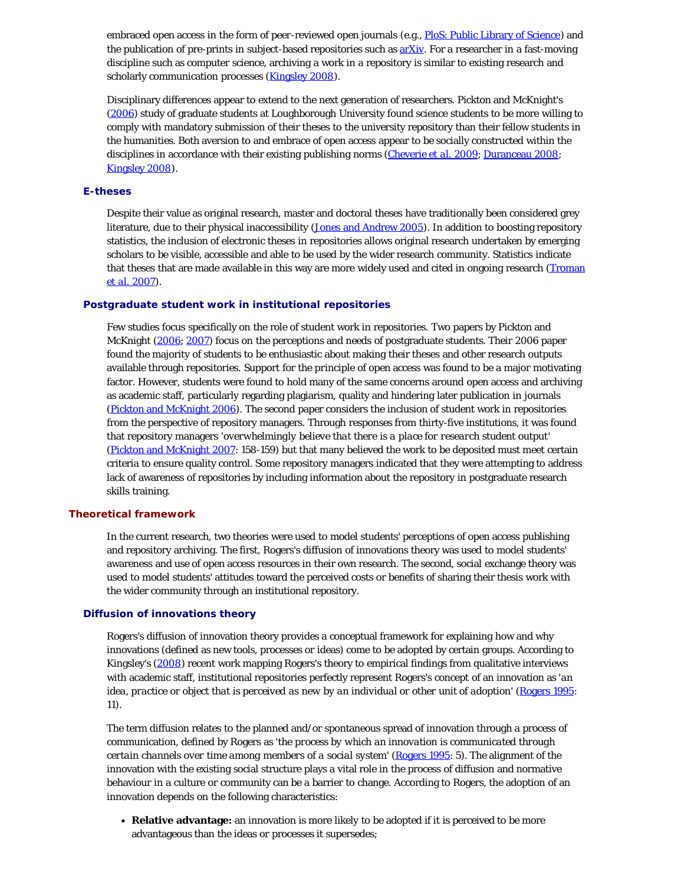embraced open access in the form of peer-reviewed open journals (e.g., [PloS: Public Library of Science\)](http://www.plos.org/) and the publication of pre-prints in subject-based repositories such as [arXiv.](http://arxiv.org/) For a researcher in a fast-moving discipline such as computer science, archiving a work in a repository is similar to existing research and scholarly communication processes [\(Kingsley 2008\)](#page-21-0).

Disciplinary differences appear to extend to the next generation of researchers. Pickton and McKnight's ([2006](#page-21-0)) study of graduate students at Loughborough University found science students to be more willing to comply with mandatory submission of their theses to the university repository than their fellow students in the humanities. Both aversion to and embrace of open access appear to be socially constructed within the disciplines in accordance with their existing publishing norms [\(Cheverie](#page-21-0) *[et al.](#page-21-0)* [2009](#page-21-0); [Duranceau 2008](#page-21-0); [Kingsley 2008\)](#page-21-0).

#### **E-theses**

Despite their value as original research, master and doctoral theses have traditionally been considered grey literature, due to their physical inaccessibility ([Jones and Andrew 2005\)](#page-21-0). In addition to boosting repository statistics, the inclusion of electronic theses in repositories allows original research undertaken by emerging scholars to be visible, accessible and able to be used by the wider research community. Statistics indicate that theses that are made available in this way are more widely used and cited in ongoing research [\(Troman](#page-21-0) *[et al.](#page-21-0)* [2007\)](#page-21-0).

#### **Postgraduate student work in institutional repositories**

Few studies focus specifically on the role of student work in repositories. Two papers by Pickton and McKnight ([2006;](#page-21-0) [2007\)](#page-21-0) focus on the perceptions and needs of postgraduate students. Their 2006 paper found the majority of students to be enthusiastic about making their theses and other research outputs available through repositories. Support for the *principle* of open access was found to be a major motivating factor. However, students were found to hold many of the same concerns around open access and archiving as academic staff, particularly regarding plagiarism, quality and hindering later publication in journals ([Pickton and McKnight 2006](#page-21-0)). The second paper considers the inclusion of student work in repositories from the perspective of repository managers. Through responses from thirty-five institutions, it was found that repository managers '*overwhelmingly believe that there is a place for research student output*' ([Pickton and McKnight 2007:](#page-21-0) 158-159) but that many believed the work to be deposited must meet certain criteria to ensure quality control. Some repository managers indicated that they were attempting to address lack of awareness of repositories by including information about the repository in postgraduate research skills training.

# **Theoretical framework**

In the current research, two theories were used to model students' perceptions of open access publishing and repository archiving. The first, Rogers's diffusion of innovations theory was used to model students' awareness and use of open access resources in their own research. The second, social exchange theory was used to model students' attitudes toward the perceived costs or benefits of sharing their thesis work with the wider community through an institutional repository.

#### **Diffusion of innovations theory**

Rogers's diffusion of innovation theory provides a conceptual framework for explaining how and why innovations (defined as new tools, processes or ideas) come to be adopted by certain groups. According to Kingsley's ([2008\)](#page-21-0) recent work mapping Rogers's theory to empirical findings from qualitative interviews with academic staff, institutional repositories perfectly represent Rogers's concept of an innovation as '*an idea, practice or object that is perceived as new by an individual or other unit of adoption*' [\(Rogers 1995:](#page-21-0) 11).

The term *diffusion* relates to the planned and/or spontaneous spread of innovation through a process of communication, defined by Rogers as '*the process by which an innovation is communicated through certain channels over time among members of a social system*' ([Rogers 1995:](#page-21-0) 5). The alignment of the innovation with the existing social structure plays a vital role in the process of diffusion and normative behaviour in a culture or community can be a barrier to change. According to Rogers, the adoption of an innovation depends on the following characteristics:

**Relative advantage:** an innovation is more likely to be adopted if it is perceived to be more advantageous than the ideas or processes it supersedes;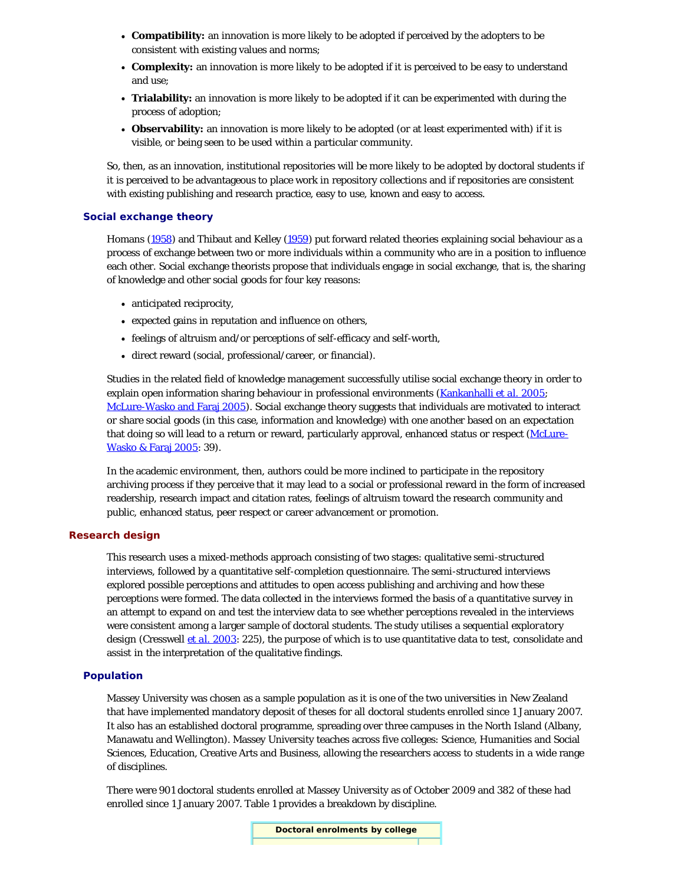- **Compatibility:** an innovation is more likely to be adopted if perceived by the adopters to be consistent with existing values and norms;
- **Complexity:** an innovation is more likely to be adopted if it is perceived to be easy to understand and use;
- **Trialability:** an innovation is more likely to be adopted if it can be experimented with during the process of adoption;
- **Observability:** an innovation is more likely to be adopted (or at least experimented with) if it is visible, or being seen to be used within a particular community.

So, then, as an innovation, institutional repositories will be more likely to be adopted by doctoral students if it is perceived to be advantageous to place work in repository collections and if repositories are consistent with existing publishing and research practice, easy to use, known and easy to access.

# **Social exchange theory**

Homans [\(1958\)](#page-21-0) and Thibaut and Kelley [\(1959](#page-21-0)) put forward related theories explaining social behaviour as a process of exchange between two or more individuals within a community who are in a position to influence each other. Social exchange theorists propose that individuals engage in social exchange, that is, the sharing of knowledge and other social goods for four key reasons:

- anticipated reciprocity,
- expected gains in reputation and influence on others,
- feelings of altruism and/or perceptions of self-efficacy and self-worth,
- direct reward (social, professional/career, or financial).

Studies in the related field of knowledge management successfully utilise social exchange theory in order to explain open information sharing behaviour in professional environments ([Kankanhalli](#page-21-0) *[et al.](#page-21-0)* [2005;](#page-21-0) [McLure-Wasko and Faraj 2005](#page-21-0)). Social exchange theory suggests that individuals are motivated to interact or share social goods (in this case, information and knowledge) with one another based on an expectation that doing so will lead to a return or reward, particularly approval, enhanced status or respect ([McLure-](#page-21-0)[Wasko & Faraj 2005:](#page-21-0) 39).

In the academic environment, then, authors could be more inclined to participate in the repository archiving process if they perceive that it may lead to a social or professional reward in the form of increased readership, research impact and citation rates, feelings of altruism toward the research community and public, enhanced status, peer respect or career advancement or promotion.

#### **Research design**

This research uses a mixed-methods approach consisting of two stages: qualitative semi-structured interviews, followed by a quantitative self-completion questionnaire. The semi-structured interviews explored possible perceptions and attitudes to open access publishing and archiving and how these perceptions were formed. The data collected in the interviews formed the basis of a quantitative survey in an attempt to expand on and test the interview data to see whether perceptions revealed in the interviews were consistent among a larger sample of doctoral students. The study utilises a *sequential exploratory design* (Cresswell *[et al.](#page-21-0)* [2003](#page-21-0): 225), the purpose of which is to use quantitative data to test, consolidate and assist in the interpretation of the qualitative findings.

# **Population**

Massey University was chosen as a sample population as it is one of the two universities in New Zealand that have implemented mandatory deposit of theses for all doctoral students enrolled since 1 January 2007. It also has an established doctoral programme, spreading over three campuses in the North Island (Albany, Manawatu and Wellington). Massey University teaches across five colleges: Science, Humanities and Social Sciences, Education, Creative Arts and Business, allowing the researchers access to students in a wide range of disciplines.

There were 901 doctoral students enrolled at Massey University as of October 2009 and 382 of these had enrolled since 1 January 2007. Table 1 provides a breakdown by discipline.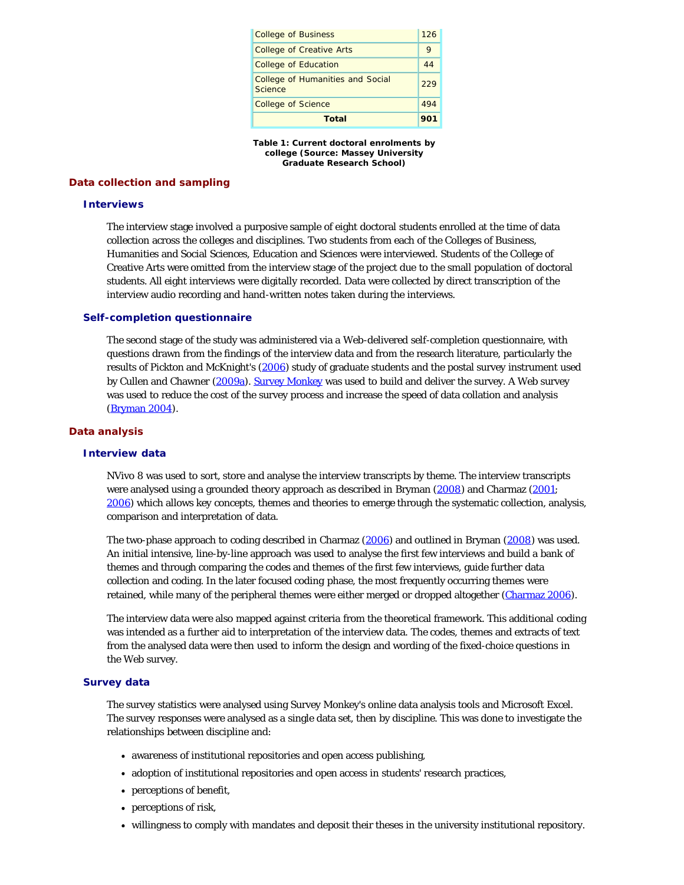| <b>College of Business</b>                         | 126 |
|----------------------------------------------------|-----|
| <b>College of Creative Arts</b>                    | 9   |
| <b>College of Education</b>                        | 44  |
| <b>College of Humanities and Social</b><br>Science | 229 |
| <b>College of Science</b>                          | 494 |
| Total                                              | 901 |

**Table 1: Current doctoral enrolments by college (Source: Massey University Graduate Research School)**

# **Data collection and sampling**

#### **Interviews**

The interview stage involved a purposive sample of eight doctoral students enrolled at the time of data collection across the colleges and disciplines. Two students from each of the Colleges of Business, Humanities and Social Sciences, Education and Sciences were interviewed. Students of the College of Creative Arts were omitted from the interview stage of the project due to the small population of doctoral students. All eight interviews were digitally recorded. Data were collected by direct transcription of the interview audio recording and hand-written notes taken during the interviews.

#### **Self-completion questionnaire**

The second stage of the study was administered via a Web-delivered self-completion questionnaire, with questions drawn from the findings of the interview data and from the research literature, particularly the results of Pickton and McKnight's [\(2006](#page-21-0)) study of graduate students and the postal survey instrument used by Cullen and Chawner [\(2009a\)](#page-21-0). [Survey Monkey](http://www.surveymonkey.com/) was used to build and deliver the survey. A Web survey was used to reduce the cost of the survey process and increase the speed of data collation and analysis ([Bryman 2004\)](#page-21-0).

# **Data analysis**

#### **Interview data**

NVivo 8 was used to sort, store and analyse the interview transcripts by theme. The interview transcripts were analysed using a grounded theory approach as described in Bryman [\(2008\)](#page-21-0) and Charmaz ([2001;](#page-21-0) [2006\)](#page-21-0) which allows key concepts, themes and theories to emerge through the systematic collection, analysis, comparison and interpretation of data.

The two-phase approach to coding described in Charmaz [\(2006](#page-21-0)) and outlined in Bryman ([2008\)](#page-21-0) was used. An initial intensive, line-by-line approach was used to analyse the first few interviews and build a bank of themes and through comparing the codes and themes of the first few interviews, guide further data collection and coding. In the later *focused coding* phase, the most frequently occurring themes were retained, while many of the peripheral themes were either merged or dropped altogether [\(Charmaz 2006](#page-21-0)).

The interview data were also mapped against criteria from the theoretical framework. This additional coding was intended as a further aid to interpretation of the interview data. The codes, themes and extracts of text from the analysed data were then used to inform the design and wording of the fixed-choice questions in the Web survey.

# **Survey data**

The survey statistics were analysed using Survey Monkey's online data analysis tools and Microsoft Excel. The survey responses were analysed as a single data set, then by discipline. This was done to investigate the relationships between discipline and:

- awareness of institutional repositories and open access publishing,
- adoption of institutional repositories and open access in students' research practices,
- perceptions of benefit,
- perceptions of risk,
- willingness to comply with mandates and deposit their theses in the university institutional repository.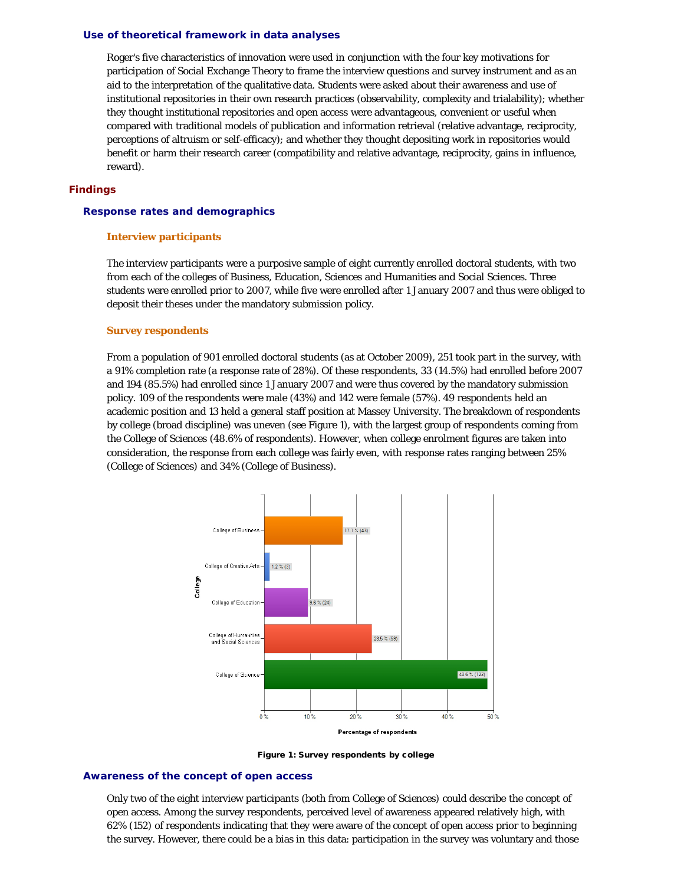#### **Use of theoretical framework in data analyses**

Roger's five characteristics of innovation were used in conjunction with the four key motivations for participation of Social Exchange Theory to frame the interview questions and survey instrument and as an aid to the interpretation of the qualitative data. Students were asked about their awareness and use of institutional repositories in their own research practices (observability, complexity and trialability); whether they thought institutional repositories and open access were advantageous, convenient or useful when compared with traditional models of publication and information retrieval (relative advantage, reciprocity, perceptions of altruism or self-efficacy); and whether they thought depositing work in repositories would benefit or harm their research career (compatibility and relative advantage, reciprocity, gains in influence, reward).

# **Findings**

#### **Response rates and demographics**

#### **Interview participants**

The interview participants were a purposive sample of eight currently enrolled doctoral students, with two from each of the colleges of Business, Education, Sciences and Humanities and Social Sciences. Three students were enrolled prior to 2007, while five were enrolled after 1 January 2007 and thus were obliged to deposit their theses under the mandatory submission policy.

#### **Survey respondents**

From a population of 901 enrolled doctoral students (as at October 2009), 251 took part in the survey, with a 91% completion rate (a response rate of 28%). Of these respondents, 33 (14.5%) had enrolled before 2007 and 194 (85.5%) had enrolled since 1 January 2007 and were thus covered by the mandatory submission policy. 109 of the respondents were male (43%) and 142 were female (57%). 49 respondents held an academic position and 13 held a general staff position at Massey University. The breakdown of respondents by college (broad discipline) was uneven (see Figure 1), with the largest group of respondents coming from the College of Sciences (48.6% of respondents). However, when college enrolment figures are taken into consideration, the response from each college was fairly even, with response rates ranging between 25% (College of Sciences) and 34% (College of Business).



Figure 1: Survey respondents by college

# **Awareness of the concept of open access**

Only two of the eight interview participants (both from College of Sciences) could describe the concept of open access. Among the survey respondents, perceived level of awareness appeared relatively high, with 62% (152) of respondents indicating that they were aware of the concept of open access prior to beginning the survey. However, there could be a bias in this data: participation in the survey was voluntary and those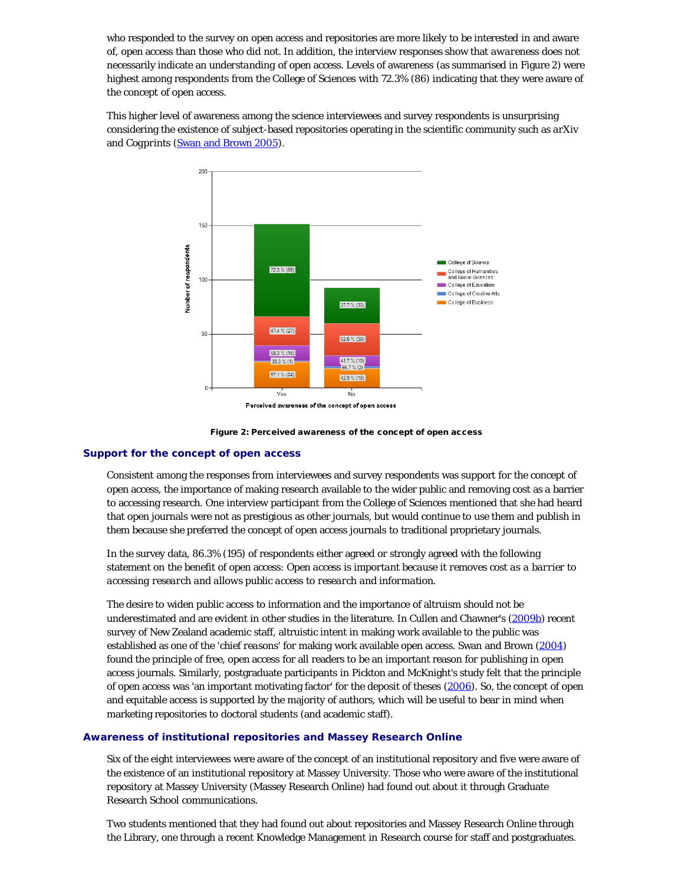who responded to the survey on open access and repositories are more likely to be interested in and aware of, open access than those who did not. In addition, the interview responses show that *awareness* does not necessarily indicate an *understanding* of open access. Levels of awareness (as summarised in Figure 2) were highest among respondents from the College of Sciences with 72.3% (86) indicating that they were aware of the concept of open access.

This higher level of awareness among the science interviewees and survey respondents is unsurprising considering the existence of subject-based repositories operating in the scientific community such as *arXiv* and *Cogprints* [\(Swan and Brown 2005\)](#page-21-0).



Figure 2: Perceived awareness of the concept of open access

# **Support for the concept of open access**

Consistent among the responses from interviewees and survey respondents was support for the concept of open access, the importance of making research available to the wider public and removing cost as a barrier to accessing research. One interview participant from the College of Sciences mentioned that she had heard that open journals were not as prestigious as other journals, but would continue to use them and publish in them because she preferred the *concept* of open access journals to traditional proprietary journals.

In the survey data, 86.3% (195) of respondents either agreed or strongly agreed with the following statement on the benefit of open access: *Open access is important because it removes cost as a barrier to accessing research and allows public access to research and information.*

The desire to widen public access to information and the importance of altruism should not be underestimated and are evident in other studies in the literature. In Cullen and Chawner's [\(2009b](#page-21-0)) recent survey of New Zealand academic staff, altruistic intent in making work available to the public was established as one of the '*chief reasons*' for making work available open access. Swan and Brown ([2004\)](#page-21-0) found the principle of free, open access for all readers to be an important reason for publishing in open access journals. Similarly, postgraduate participants in Pickton and McKnight's study felt that the principle of open access was 'an important motivating factor' for the deposit of theses ([2006\)](#page-21-0). So, the concept of open and equitable access is supported by the majority of authors, which will be useful to bear in mind when marketing repositories to doctoral students (and academic staff).

# **Awareness of institutional repositories and Massey Research Online**

Six of the eight interviewees were aware of the concept of an institutional repository and five were aware of the existence of an institutional repository at Massey University. Those who were aware of the institutional repository at Massey University (Massey Research Online) had found out about it through Graduate Research School communications.

Two students mentioned that they had found out about repositories and Massey Research Online through the Library, one through a recent Knowledge Management in Research course for staff and postgraduates.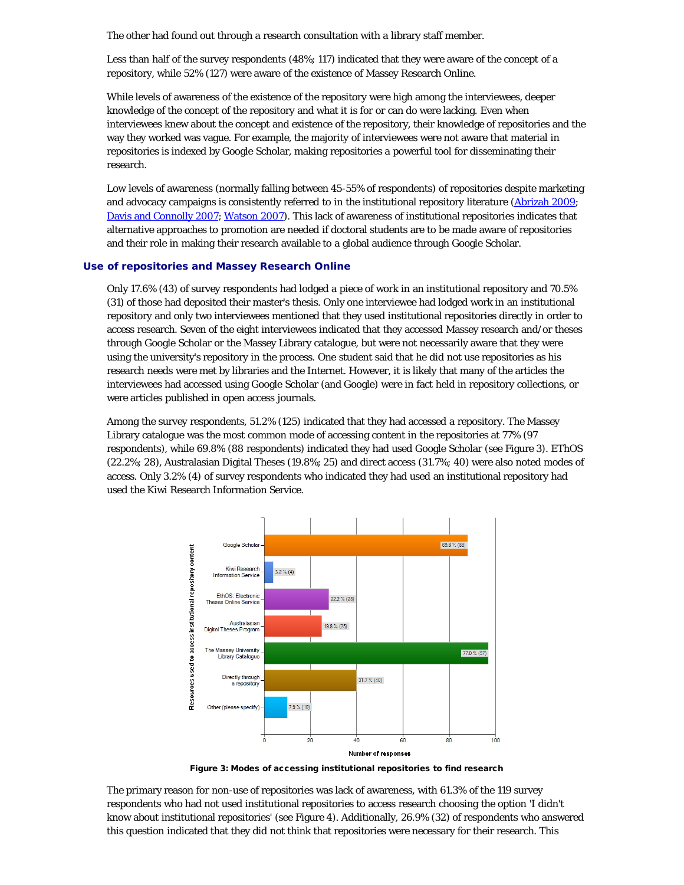The other had found out through a research consultation with a library staff member.

Less than half of the survey respondents (48%; 117) indicated that they were aware of the concept of a repository, while 52% (127) were aware of the existence of Massey Research Online.

While levels of awareness of the existence of the repository were high among the interviewees, deeper knowledge of the concept of the repository and what it is for or can do were lacking. Even when interviewees knew about the concept and existence of the repository, their knowledge of repositories and the way they worked was vague. For example, the majority of interviewees were not aware that material in repositories is indexed by Google Scholar, making repositories a powerful tool for disseminating their research.

Low levels of awareness (normally falling between 45-55% of respondents) of repositories *despite* marketing and advocacy campaigns is consistently referred to in the institutional repository literature ([Abrizah 2009](#page-21-0); [Davis and Connolly 2007;](#page-21-0) [Watson 2007\)](#page-21-3). This lack of awareness of institutional repositories indicates that alternative approaches to promotion are needed if doctoral students are to be made aware of repositories and their role in making their research available to a global audience through Google Scholar.

#### **Use of repositories and Massey Research Online**

Only 17.6% (43) of survey respondents had lodged a piece of work in an institutional repository and 70.5% (31) of those had deposited their master's thesis. Only one interviewee had lodged work in an institutional repository and only two interviewees mentioned that they used institutional repositories directly in order to access research. Seven of the eight interviewees indicated that they accessed Massey research and/or theses through Google Scholar or the Massey Library catalogue, but were not necessarily aware that they were using the university's repository in the process. One student said that he did not use repositories as his research needs were met by libraries and the Internet. However, it is likely that many of the articles the interviewees had accessed using Google Scholar (and Google) were in fact held in repository collections, or were articles published in open access journals.

Among the survey respondents, 51.2% (125) indicated that they had accessed a repository. The Massey Library catalogue was the most common mode of accessing content in the repositories at 77% (97 respondents), while 69.8% (88 respondents) indicated they had used Google Scholar (see Figure 3). EThOS (22.2%; 28), Australasian Digital Theses (19.8%; 25) and direct access (31.7%; 40) were also noted modes of access. Only 3.2% (4) of survey respondents who indicated they had used an institutional repository had used the Kiwi Research Information Service.



Figure 3: Modes of accessing institutional repositories to find research

The primary reason for non-use of repositories was lack of awareness, with 61.3% of the 119 survey respondents who had not used institutional repositories to access research choosing the option 'I didn't know about institutional repositories' (see Figure 4). Additionally, 26.9% (32) of respondents who answered this question indicated that they did not think that repositories were necessary for their research. This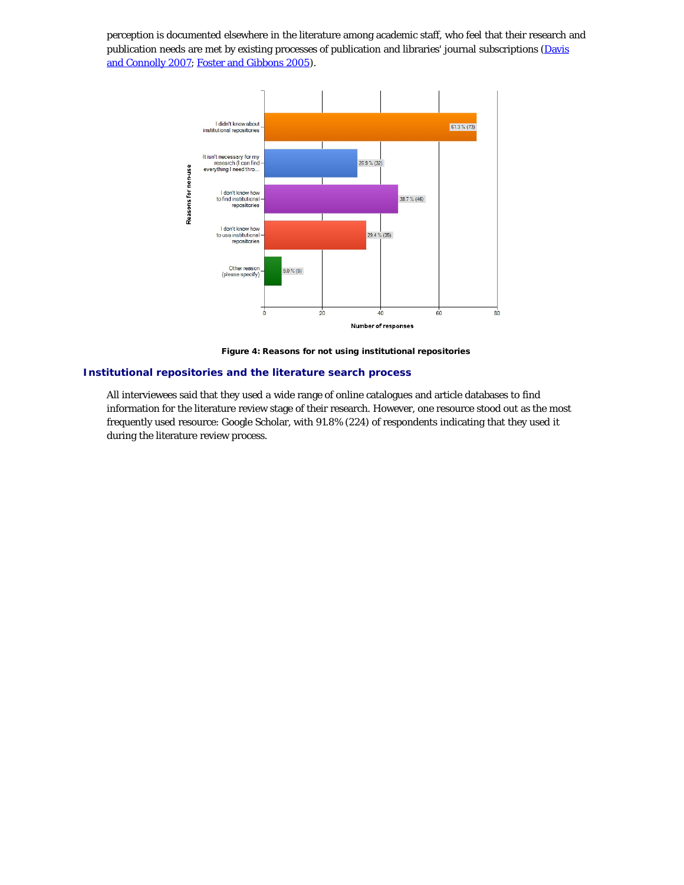perception is documented elsewhere in the literature among academic staff, who feel that their research and publication needs are met by existing processes of publication and libraries' journal subscriptions [\(Davis](#page-21-0) [and Connolly 2007; Foster and Gibbons 2005](#page-21-0)).



Figure 4: Reasons for not using institutional repositories

# **Institutional repositories and the literature search process**

All interviewees said that they used a wide range of online catalogues and article databases to find information for the literature review stage of their research. However, one resource stood out as the most frequently used resource: Google Scholar, with 91.8% (224) of respondents indicating that they used it during the literature review process.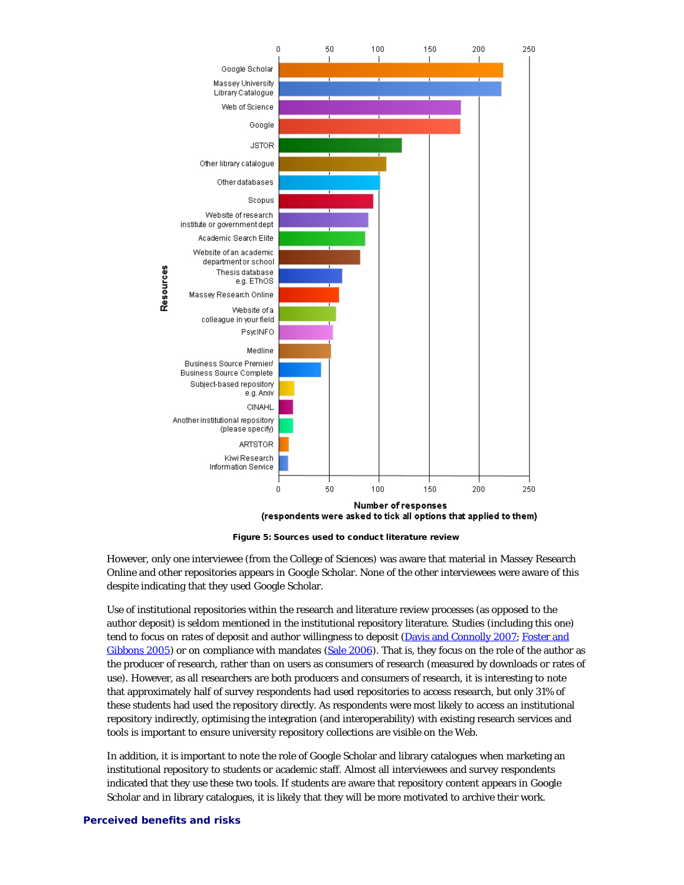

Figure 5: Sources used to conduct literature review

However, only one interviewee (from the College of Sciences) was aware that material in Massey Research Online and other repositories appears in Google Scholar. None of the other interviewees were aware of this despite indicating that they used Google Scholar.

*Use* of institutional repositories within the research and literature review processes (as opposed to the author deposit) is seldom mentioned in the institutional repository literature. Studies (including this one) tend to focus on rates of deposit and author willingness to deposit [\(Davis and Connolly 2007](#page-21-0); [Foster and](#page-21-0) [Gibbons 2005\)](#page-21-0) or on compliance with mandates [\(Sale 2006](#page-21-0)). That is, they focus on the role of the author as the producer of research, rather than on users as consumers of research (measured by downloads or rates of use). However, as all researchers are both producers *and* consumers of research, it is interesting to note that approximately half of survey respondents *had* used repositories to access research, but only 31% of these students had used the repository directly. As respondents were most likely to access an institutional repository indirectly, optimising the integration (and interoperability) with existing research services and tools is important to ensure university repository collections are visible on the Web.

In addition, it is important to note the role of Google Scholar and library catalogues when marketing an institutional repository to students or academic staff. Almost all interviewees and survey respondents indicated that they use these two tools. If students are aware that repository content appears in Google Scholar and in library catalogues, it is likely that they will be more motivated to archive their work.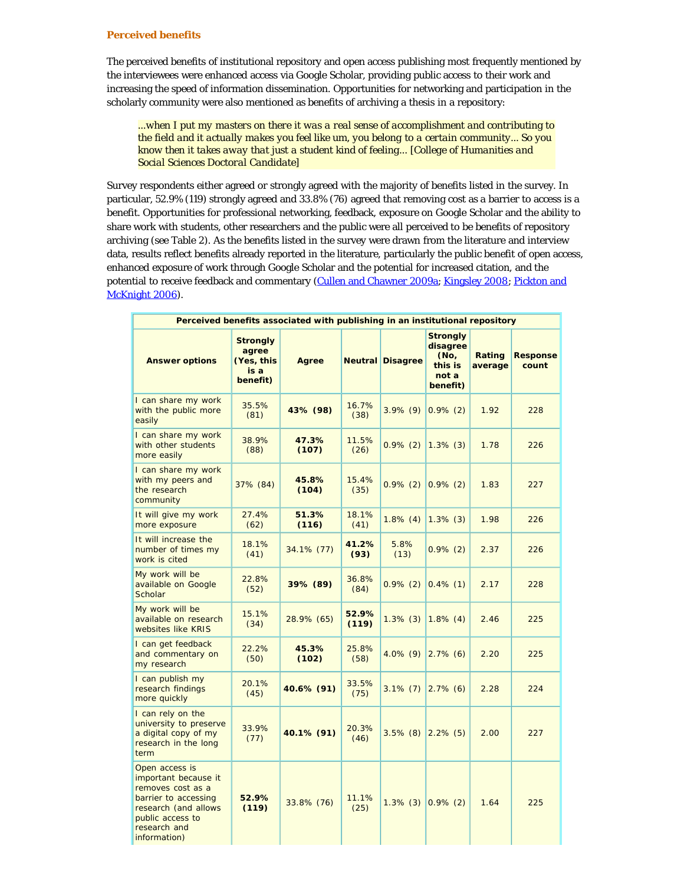#### **Perceived benefits**

The perceived benefits of institutional repository and open access publishing most frequently mentioned by the interviewees were enhanced access via Google Scholar, providing public access to their work and increasing the speed of information dissemination. Opportunities for networking and participation in the scholarly community were also mentioned as benefits of archiving a thesis in a repository:

*...when I put my masters on there it was a real sense of accomplishment and contributing to the field and it actually makes you feel like um, you belong to a certain community... So you know then it takes away that just a student kind of feeling... [College of Humanities and Social Sciences Doctoral Candidate]*

Survey respondents either agreed or strongly agreed with the majority of benefits listed in the survey. In particular, 52.9% (119) strongly agreed and 33.8% (76) agreed that removing cost as a barrier to access is a benefit. Opportunities for professional networking, feedback, exposure on Google Scholar and the ability to share work with students, other researchers and the public were all perceived to be benefits of repository archiving (see Table 2). As the benefits listed in the survey were drawn from the literature and interview data, results reflect benefits already reported in the literature, particularly the public benefit of open access, enhanced exposure of work through Google Scholar and the potential for increased citation, and the potential to receive feedback and commentary ([Cullen and Chawner 2009a](#page-21-0); [Kingsley 2008](#page-21-0); [Pickton and](#page-21-0) [McKnight 2006\)](#page-21-0).

| Perceived benefits associated with publishing in an institutional repository                                                                                    |                                                            |                |                |                         |                                                                     |                   |                          |
|-----------------------------------------------------------------------------------------------------------------------------------------------------------------|------------------------------------------------------------|----------------|----------------|-------------------------|---------------------------------------------------------------------|-------------------|--------------------------|
| <b>Answer options</b>                                                                                                                                           | <b>Strongly</b><br>agree<br>(Yes, this<br>is a<br>benefit) | Agree          |                | <b>Neutral Disagree</b> | <b>Strongly</b><br>disagree<br>(No,<br>this is<br>not a<br>benefit) | Rating<br>average | <b>Response</b><br>count |
| I can share my work<br>with the public more<br>easily                                                                                                           | 35.5%<br>(81)                                              | 43% (98)       | 16.7%<br>(38)  | $3.9\%$ (9)             | $0.9\%$ (2)                                                         | 1.92              | 228                      |
| I can share my work<br>with other students<br>more easily                                                                                                       | 38.9%<br>(88)                                              | 47.3%<br>(107) | 11.5%<br>(26)  | $0.9\%$ (2)             | $1.3\%$ (3)                                                         | 1.78              | 226                      |
| I can share my work<br>with my peers and<br>the research<br>community                                                                                           | 37% (84)                                                   | 45.8%<br>(104) | 15.4%<br>(35)  | $0.9\%$ (2)             | $0.9\%$ (2)                                                         | 1.83              | 227                      |
| It will give my work<br>more exposure                                                                                                                           | 27.4%<br>(62)                                              | 51.3%<br>(116) | 18.1%<br>(41)  | $1.8\%$ (4)             | $1.3\%$ (3)                                                         | 1.98              | 226                      |
| It will increase the<br>number of times my<br>work is cited                                                                                                     | 18.1%<br>(41)                                              | 34.1% (77)     | 41.2%<br>(93)  | 5.8%<br>(13)            | $0.9\%$ (2)                                                         | 2.37              | 226                      |
| My work will be<br>available on Google<br>Scholar                                                                                                               | 22.8%<br>(52)                                              | 39% (89)       | 36.8%<br>(84)  | $0.9\%$ (2)             | $0.4\%$ (1)                                                         | 2.17              | 228                      |
| My work will be<br>available on research<br>websites like KRIS                                                                                                  | 15.1%<br>(34)                                              | 28.9% (65)     | 52.9%<br>(119) | $1.3\%$ (3)             | $1.8\%$ (4)                                                         | 2.46              | 225                      |
| I can get feedback<br>and commentary on<br>my research                                                                                                          | 22.2%<br>(50)                                              | 45.3%<br>(102) | 25.8%<br>(58)  | $4.0\%$ (9)             | $2.7\%$ (6)                                                         | 2.20              | 225                      |
| I can publish my<br>research findings<br>more quickly                                                                                                           | 20.1%<br>(45)                                              | 40.6% (91)     | 33.5%<br>(75)  | $3.1\%$ (7)             | $2.7\%$ (6)                                                         | 2.28              | 224                      |
| I can rely on the<br>university to preserve<br>a digital copy of my<br>research in the long<br>term                                                             | 33.9%<br>(77)                                              | 40.1% (91)     | 20.3%<br>(46)  | $3.5\%$ (8)             | $2.2\%$ (5)                                                         | 2.00              | 227                      |
| Open access is<br>important because it<br>removes cost as a<br>barrier to accessing<br>research (and allows<br>public access to<br>research and<br>information) | 52.9%<br>(119)                                             | 33.8% (76)     | 11.1%<br>(25)  | $1.3\%$ (3)             | $0.9\%$ (2)                                                         | 1.64              | 225                      |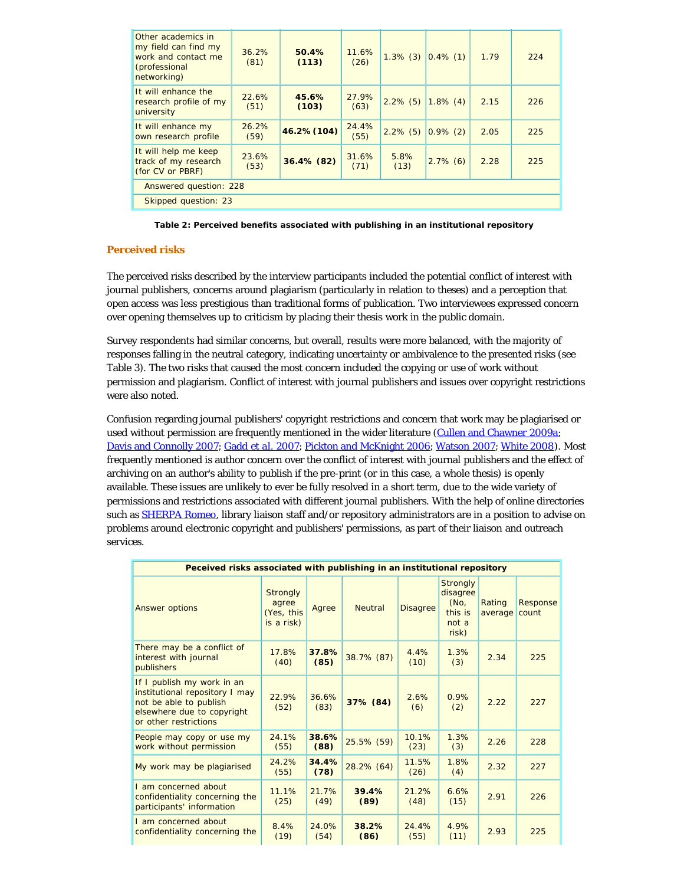| Other academics in<br>my field can find my<br>work and contact me<br>(professional<br>networking) | 36.2%<br>(81) | 50.4%<br>(113) | 11.6%<br>(26) | $1.3\%$ (3)  | $0.4\%$ (1) | 1.79 | 224 |
|---------------------------------------------------------------------------------------------------|---------------|----------------|---------------|--------------|-------------|------|-----|
| It will enhance the<br>research profile of my<br>university                                       | 22.6%<br>(51) | 45.6%<br>(103) | 27.9%<br>(63) | $2.2\%$ (5)  | $1.8\%$ (4) | 2.15 | 226 |
| It will enhance my<br>own research profile                                                        | 26.2%<br>(59) | 46.2% (104)    | 24.4%<br>(55) | $2.2\%$ (5)  | $0.9\%$ (2) | 2.05 | 225 |
| It will help me keep<br>track of my research<br>(for CV or PBRF)                                  | 23.6%<br>(53) | 36.4% (82)     | 31.6%<br>(71) | 5.8%<br>(13) | $2.7\%$ (6) | 2.28 | 225 |
| Answered question: 228                                                                            |               |                |               |              |             |      |     |
| Skipped question: 23                                                                              |               |                |               |              |             |      |     |

**Table 2: Perceived benefits associated with publishing in an institutional repository**

# **Perceived risks**

The perceived risks described by the interview participants included the potential conflict of interest with journal publishers, concerns around plagiarism (particularly in relation to theses) and a perception that open access was less prestigious than traditional forms of publication. Two interviewees expressed concern over opening themselves up to criticism by placing their thesis work in the public domain.

Survey respondents had similar concerns, but overall, results were more balanced, with the majority of responses falling in the neutral category, indicating uncertainty or ambivalence to the presented risks (see Table 3). The two risks that caused the most concern included the copying or use of work without permission and plagiarism. Conflict of interest with journal publishers and issues over copyright restrictions were also noted.

Confusion regarding journal publishers' copyright restrictions and concern that work may be plagiarised or used without permission are frequently mentioned in the wider literature [\(Cullen and Chawner 2009a](#page-21-0); [Davis and Connolly 2007;](#page-21-0) [Gadd](#page-21-0) *[et al.](#page-21-0)* [2007;](#page-21-0) [Pickton and McKnight 2006](#page-21-0); [Watson 2007](#page-21-3); [White 2008](#page-21-2)). Most frequently mentioned is author concern over the conflict of interest with journal publishers and the effect of archiving on an author's ability to publish if the pre-print (or in this case, a whole thesis) is openly available. These issues are unlikely to ever be fully resolved in a short term, due to the wide variety of permissions and restrictions associated with different journal publishers. With the help of online directories such as **SHERPA Romeo**, library liaison staff and/or repository administrators are in a position to advise on problems around electronic copyright and publishers' permissions, as part of their liaison and outreach services.

| Peceived risks associated with publishing in an institutional repository                                                                      |                                                      |               |                |                 |                                                                  |                   |                   |
|-----------------------------------------------------------------------------------------------------------------------------------------------|------------------------------------------------------|---------------|----------------|-----------------|------------------------------------------------------------------|-------------------|-------------------|
| Answer options                                                                                                                                | <b>Strongly</b><br>agree<br>(Yes, this<br>is a risk) | Agree         | <b>Neutral</b> | <b>Disagree</b> | <b>Strongly</b><br>disagree<br>(No,<br>this is<br>not a<br>risk) | Rating<br>average | Response<br>count |
| There may be a conflict of<br>interest with journal<br>publishers                                                                             | 17.8%<br>(40)                                        | 37.8%<br>(85) | 38.7% (87)     | 4.4%<br>(10)    | 1.3%<br>(3)                                                      | 2.34              | 225               |
| If I publish my work in an<br>institutional repository I may<br>not be able to publish<br>elsewhere due to copyright<br>or other restrictions | 22.9%<br>(52)                                        | 36.6%<br>(83) | 37% (84)       | 2.6%<br>(6)     | 0.9%<br>(2)                                                      | 2.22              | 227               |
| People may copy or use my<br>work without permission                                                                                          | 24.1%<br>(55)                                        | 38.6%<br>(88) | 25.5% (59)     | 10.1%<br>(23)   | 1.3%<br>(3)                                                      | 2.26              | 228               |
| My work may be plagiarised                                                                                                                    | 24.2%<br>(55)                                        | 34.4%<br>(78) | 28.2% (64)     | 11.5%<br>(26)   | 1.8%<br>(4)                                                      | 2.32              | 227               |
| I am concerned about<br>confidentiality concerning the<br>participants' information                                                           | 11.1%<br>(25)                                        | 21.7%<br>(49) | 39.4%<br>(89)  | 21.2%<br>(48)   | 6.6%<br>(15)                                                     | 2.91              | 226               |
| I am concerned about<br>confidentiality concerning the                                                                                        | 8.4%<br>(19)                                         | 24.0%<br>(54) | 38.2%<br>(86)  | 24.4%<br>(55)   | 4.9%<br>(11)                                                     | 2.93              | 225               |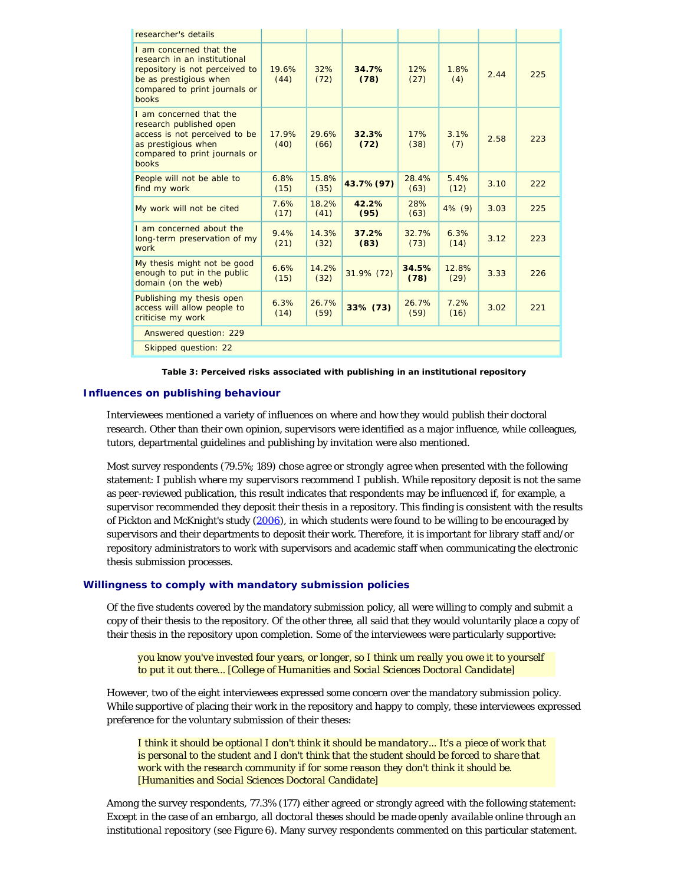| researcher's details                                                                                                                                                 |               |               |               |               |               |      |     |
|----------------------------------------------------------------------------------------------------------------------------------------------------------------------|---------------|---------------|---------------|---------------|---------------|------|-----|
| I am concerned that the<br>research in an institutional<br>repository is not perceived to<br>be as prestigious when<br>compared to print journals or<br><b>books</b> | 19.6%<br>(44) | 32%<br>(72)   | 34.7%<br>(78) | 12%<br>(27)   | 1.8%<br>(4)   | 2.44 | 225 |
| I am concerned that the<br>research published open<br>access is not perceived to be<br>as prestigious when<br>compared to print journals or<br>books                 | 17.9%<br>(40) | 29.6%<br>(66) | 32.3%<br>(72) | 17%<br>(38)   | 3.1%<br>(7)   | 2.58 | 223 |
| People will not be able to<br>find my work                                                                                                                           | 6.8%<br>(15)  | 15.8%<br>(35) | 43.7% (97)    | 28.4%<br>(63) | 5.4%<br>(12)  | 3.10 | 222 |
| My work will not be cited                                                                                                                                            | 7.6%<br>(17)  | 18.2%<br>(41) | 42.2%<br>(95) | 28%<br>(63)   | $4\%$ (9)     | 3.03 | 225 |
| I am concerned about the<br>long-term preservation of my<br>work                                                                                                     | 9.4%<br>(21)  | 14.3%<br>(32) | 37.2%<br>(83) | 32.7%<br>(73) | 6.3%<br>(14)  | 3.12 | 223 |
| My thesis might not be good<br>enough to put in the public<br>domain (on the web)                                                                                    | 6.6%<br>(15)  | 14.2%<br>(32) | 31.9% (72)    | 34.5%<br>(78) | 12.8%<br>(29) | 3.33 | 226 |
| Publishing my thesis open<br>access will allow people to<br>criticise my work                                                                                        | 6.3%<br>(14)  | 26.7%<br>(59) | 33% (73)      | 26.7%<br>(59) | 7.2%<br>(16)  | 3.02 | 221 |
| Answered question: 229                                                                                                                                               |               |               |               |               |               |      |     |
| Skipped question: 22                                                                                                                                                 |               |               |               |               |               |      |     |

**Table 3: Perceived risks associated with publishing in an institutional repository**

# **Influences on publishing behaviour**

Interviewees mentioned a variety of influences on where and how they would publish their doctoral research. Other than their own opinion, supervisors were identified as a major influence, while colleagues, tutors, departmental guidelines and publishing by invitation were also mentioned.

Most survey respondents (79.5%; 189) chose *agree* or *strongly agree* when presented with the following statement: *I publish where my supervisors recommend I publish*. While repository deposit is not the same as peer-reviewed publication, this result indicates that respondents may be influenced if, for example, a supervisor recommended they deposit their thesis in a repository. This finding is consistent with the results of Pickton and McKnight's study [\(2006](#page-21-0)), in which students were found to be willing to be encouraged by supervisors and their departments to deposit their work. Therefore, it is important for library staff and/or repository administrators to work with supervisors and academic staff when communicating the electronic thesis submission processes.

# **Willingness to comply with mandatory submission policies**

Of the five students covered by the mandatory submission policy, all were willing to comply and submit a copy of their thesis to the repository. Of the other three, all said that they would voluntarily place a copy of their thesis in the repository upon completion. Some of the interviewees were particularly supportive:

*you know you've invested four years, or longer, so I think um really you owe it to yourself to put it out there... [College of Humanities and Social Sciences Doctoral Candidate]*

However, two of the eight interviewees expressed some concern over the mandatory submission policy. While supportive of placing their work in the repository and happy to comply, these interviewees expressed preference for the voluntary submission of their theses:

*I think it should be optional I don't think it should be mandatory... It's a piece of work that is personal to the student and I don't think that the student should be forced to share that work with the research community if for some reason they don't think it should be. [Humanities and Social Sciences Doctoral Candidate]*

Among the survey respondents, 77.3% (177) either agreed or strongly agreed with the following statement: *Except in the case of an embargo, all doctoral theses should be made openly available online through an institutional repository* (see Figure 6). Many survey respondents commented on this particular statement.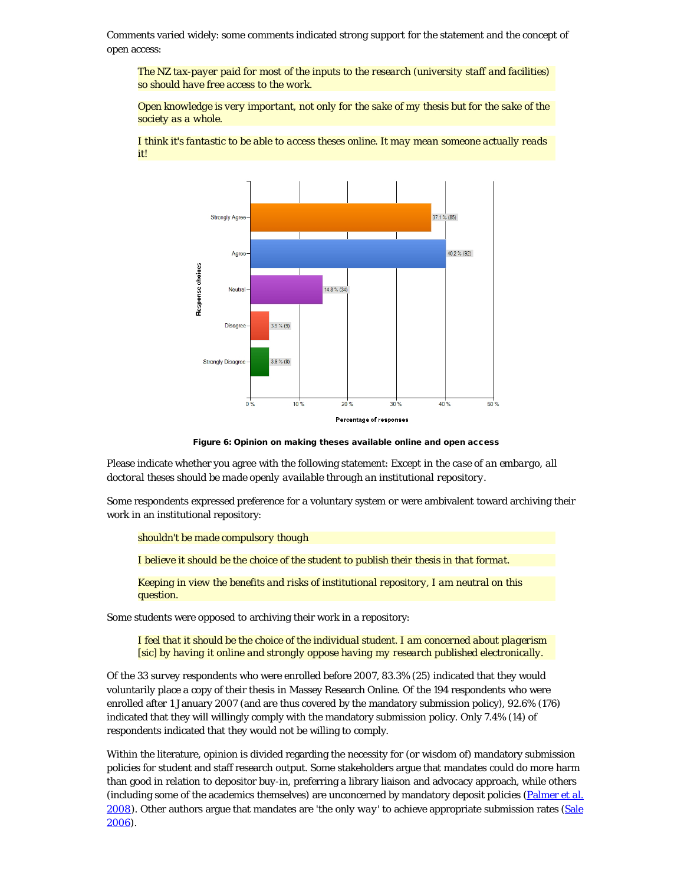Comments varied widely: some comments indicated strong support for the statement and the concept of open access:

*The NZ tax-payer paid for most of the inputs to the research (university staff and facilities) so should have free access to the work.*

*Open knowledge is very important, not only for the sake of my thesis but for the sake of the society as a whole.*



*I think it's fantastic to be able to access theses online. It may mean someone actually reads it!*

Figure 6: Opinion on making theses available online and open access

Please indicate whether you agree with the following statement: *Except in the case of an embargo, all doctoral theses should be made openly available through an institutional repository*.

Some respondents expressed preference for a voluntary system or were ambivalent toward archiving their work in an institutional repository:

*shouldn't be made compulsory though*

*I believe it should be the choice of the student to publish their thesis in that format.*

*Keeping in view the benefits and risks of institutional repository, I am neutral on this question.*

Some students were opposed to archiving their work in a repository:

*I feel that it should be the choice of the individual student. I am concerned about plagerism [sic] by having it online and strongly oppose having my research published electronically.*

Of the 33 survey respondents who were enrolled before 2007, 83.3% (25) indicated that they would voluntarily place a copy of their thesis in Massey Research Online. Of the 194 respondents who were enrolled after 1 January 2007 (and are thus covered by the mandatory submission policy), 92.6% (176) indicated that they will willingly comply with the mandatory submission policy. Only 7.4% (14) of respondents indicated that they would not be willing to comply.

Within the literature, opinion is divided regarding the necessity for (or wisdom of) mandatory submission policies for student and staff research output. Some stakeholders argue that mandates could do more harm than good in relation to depositor buy-in, preferring a library liaison and advocacy approach, while others (including some of the academics themselves) are unconcerned by mandatory deposit policies ([Palmer](#page-21-0) *[et al.](#page-21-0)* [2008\)](#page-21-0). Other authors argue that mandates are '*the only way*' to achieve appropriate submission rates ([Sale](#page-21-0) [2006\)](#page-21-0).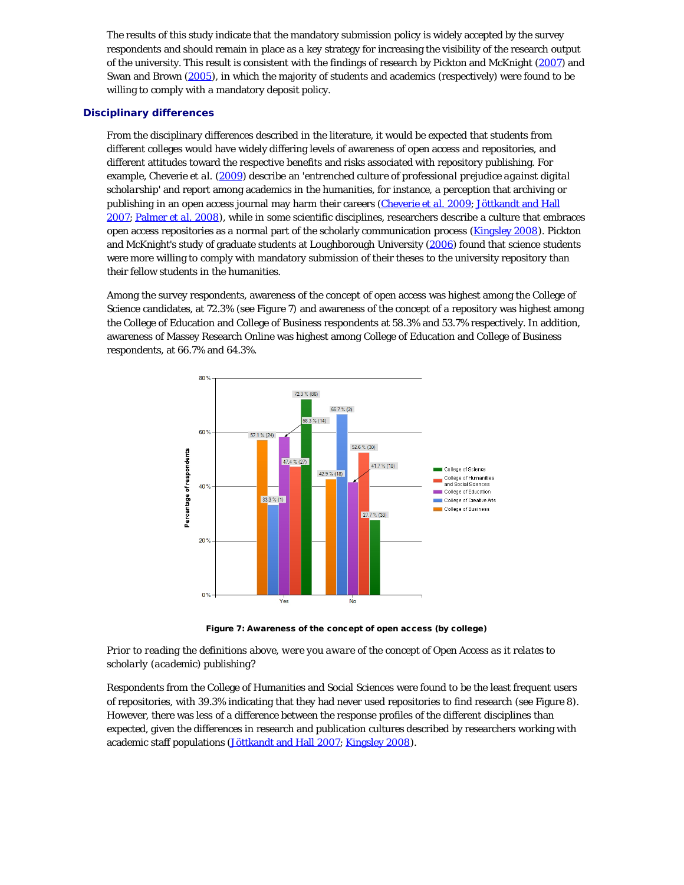The results of this study indicate that the mandatory submission policy is widely accepted by the survey respondents and should remain in place as a key strategy for increasing the visibility of the research output of the university. This result is consistent with the findings of research by Pickton and McKnight [\(2007\)](#page-21-0) and Swan and Brown [\(2005](#page-21-0)), in which the majority of students and academics (respectively) were found to be willing to comply with a mandatory deposit policy.

# **Disciplinary differences**

From the disciplinary differences described in the literature, it would be expected that students from different colleges would have widely differing levels of awareness of open access and repositories, and different attitudes toward the respective benefits and risks associated with repository publishing. For example, Cheverie *et al.* [\(2009](#page-21-0)) describe an '*entrenched culture of professional prejudice against digital scholarship*' and report among academics in the humanities, for instance, a perception that archiving or publishing in an open access journal may harm their careers [\(Cheverie](#page-21-0) *[et al.](#page-21-0)* [2009](#page-21-0); [Jöttkandt and Hall](#page-21-0) [2007; Palmer](#page-21-0) *[et al.](#page-21-0)* [2008](#page-21-0)), while in some scientific disciplines, researchers describe a culture that embraces open access repositories as a normal part of the scholarly communication process ([Kingsley 2008\)](#page-21-0). Pickton and McKnight's study of graduate students at Loughborough University [\(2006](#page-21-0)) found that science students were more willing to comply with mandatory submission of their theses to the university repository than their fellow students in the humanities.

Among the survey respondents, awareness of the concept of open access was highest among the College of Science candidates, at 72.3% (see Figure 7) and awareness of the concept of a repository was highest among the College of Education and College of Business respondents at 58.3% and 53.7% respectively. In addition, awareness of Massey Research Online was highest among College of Education and College of Business respondents, at 66.7% and 64.3%.



Figure 7: Awareness of the concept of open access (by college)

*Prior to reading the definitions above, were you aware of the concept of Open Access as it relates to scholarly (academic) publishing?*

Respondents from the College of Humanities and Social Sciences were found to be the least frequent users of repositories, with 39.3% indicating that they had never used repositories to find research (see Figure 8). However, there was less of a difference between the response profiles of the different disciplines than expected, given the differences in research and publication cultures described by researchers working with academic staff populations ([Jöttkandt and Hall 2007; Kingsley 2008](#page-21-0)).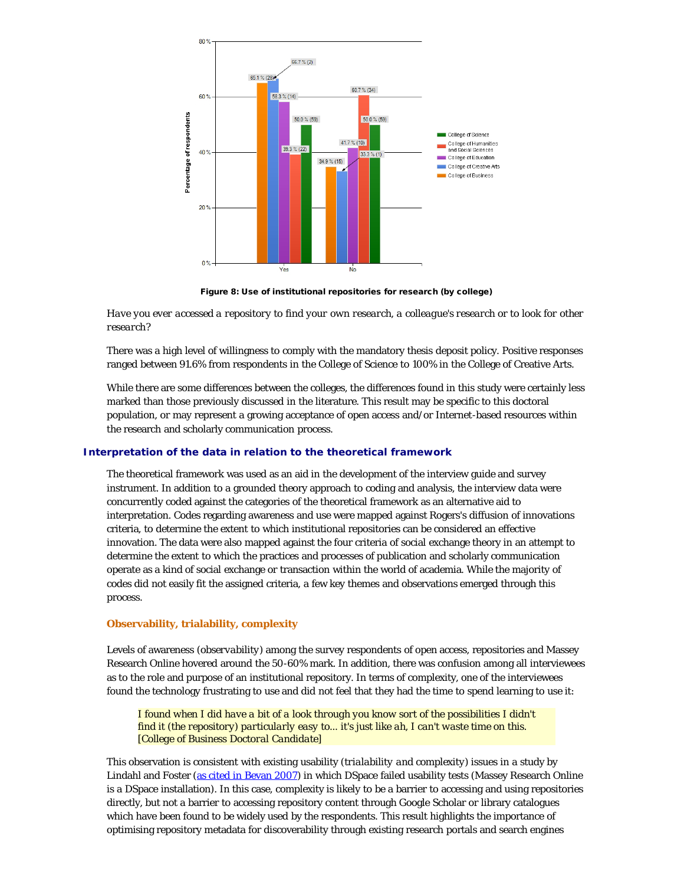

Figure 8: Use of institutional repositories for research (by college)

*Have you ever accessed a repository to find your own research, a colleague's research or to look for other research?*

There was a high level of willingness to comply with the mandatory thesis deposit policy. Positive responses ranged between 91.6% from respondents in the College of Science to 100% in the College of Creative Arts.

While there are some differences between the colleges, the differences found in this study were certainly less marked than those previously discussed in the literature. This result may be specific to this doctoral population, or may represent a growing acceptance of open access and/or Internet-based resources within the research and scholarly communication process.

#### **Interpretation of the data in relation to the theoretical framework**

The theoretical framework was used as an aid in the development of the interview guide and survey instrument. In addition to a grounded theory approach to coding and analysis, the interview data were concurrently coded against the categories of the theoretical framework as an alternative aid to interpretation. Codes regarding awareness and use were mapped against Rogers's diffusion of innovations criteria, to determine the extent to which institutional repositories can be considered an effective innovation. The data were also mapped against the four criteria of social exchange theory in an attempt to determine the extent to which the practices and processes of publication and scholarly communication operate as a kind of social exchange or transaction within the world of academia. While the majority of codes did not easily fit the assigned criteria, a few key themes and observations emerged through this process.

#### **Observability, trialability, complexity**

Levels of awareness (*observability*) among the survey respondents of open access, repositories and Massey Research Online hovered around the 50-60% mark. In addition, there was confusion among all interviewees as to the role and purpose of an institutional repository. In terms of complexity, one of the interviewees found the technology frustrating to use and did not feel that they had the time to spend learning to use it:

*I found when I did have a bit of a look through you know sort of the possibilities I didn't find it (the repository) particularly easy to... it's just like ah, I can't waste time on this. [College of Business Doctoral Candidate]*

This observation is consistent with existing usability (*trialability and complexity*) issues in a study by Lindahl and Foster [\(as cited in Bevan 2007](#page-21-0)) in which DSpace failed usability tests (Massey Research Online is a DSpace installation). In this case, complexity is likely to be a barrier to accessing and using repositories directly, but not a barrier to accessing repository content through Google Scholar or library catalogues which have been found to be widely used by the respondents. This result highlights the importance of optimising repository metadata for discoverability through existing research portals and search engines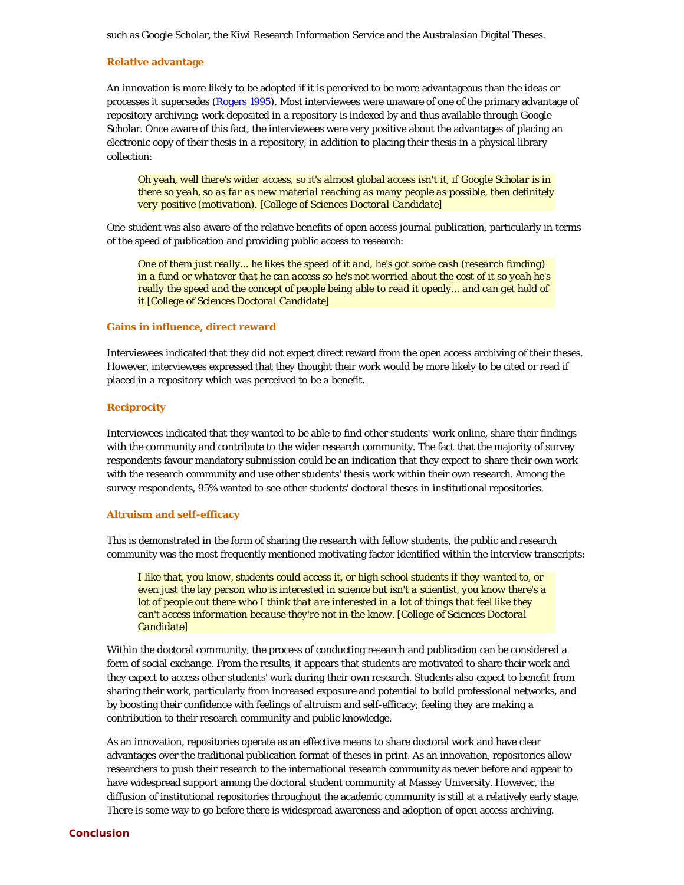such as Google Scholar, the Kiwi Research Information Service and the Australasian Digital Theses.

# **Relative advantage**

An innovation is more likely to be adopted if it is perceived to be more advantageous than the ideas or processes it supersedes [\(Rogers 1995](#page-21-0)). Most interviewees were unaware of one of the primary advantage of repository archiving: work deposited in a repository is indexed by and thus available through Google Scholar. Once aware of this fact, the interviewees were very positive about the advantages of placing an electronic copy of their thesis in a repository, in addition to placing their thesis in a physical library collection:

*Oh yeah, well there's wider access, so it's almost global access isn't it, if Google Scholar is in there so yeah, so as far as new material reaching as many people as possible, then definitely very positive (motivation). [College of Sciences Doctoral Candidate]*

One student was also aware of the relative benefits of open access journal publication, particularly in terms of the speed of publication and providing public access to research:

*One of them just really... he likes the speed of it and, he's got some cash (research funding) in a fund or whatever that he can access so he's not worried about the cost of it so yeah he's really the speed and the concept of people being able to read it openly... and can get hold of it [College of Sciences Doctoral Candidate]*

#### **Gains in influence, direct reward**

Interviewees indicated that they did not expect direct reward from the open access archiving of their theses. However, interviewees expressed that they thought their work would be more likely to be cited or read if placed in a repository which was perceived to be a benefit.

# **Reciprocity**

Interviewees indicated that they wanted to be able to find other students' work online, share their findings with the community and contribute to the wider research community. The fact that the majority of survey respondents favour mandatory submission could be an indication that they expect to share their own work with the research community and use other students' thesis work within their own research. Among the survey respondents, 95% wanted to see other students' doctoral theses in institutional repositories.

# **Altruism and self-efficacy**

This is demonstrated in the form of sharing the research with fellow students, the public and research community was the most frequently mentioned motivating factor identified within the interview transcripts:

*I like that, you know, students could access it, or high school students if they wanted to, or even just the lay person who is interested in science but isn't a scientist, you know there's a lot of people out there who I think that are interested in a lot of things that feel like they can't access information because they're not in the know. [College of Sciences Doctoral Candidate]*

Within the doctoral community, the process of conducting research and publication can be considered a form of social exchange. From the results, it appears that students are motivated to share their work and they expect to access other students' work during their own research. Students also expect to benefit from sharing their work, particularly from increased exposure and potential to build professional networks, and by boosting their confidence with feelings of altruism and self-efficacy; feeling they are making a contribution to their research community and public knowledge.

As an innovation, repositories operate as an effective means to share doctoral work and have clear advantages over the traditional publication format of theses in print. As an innovation, repositories allow researchers to push their research to the international research community as never before and appear to have widespread support among the doctoral student community at Massey University. However, the diffusion of institutional repositories throughout the academic community is still at a relatively early stage. There is some way to go before there is widespread awareness and adoption of open access archiving.

# **Conclusion**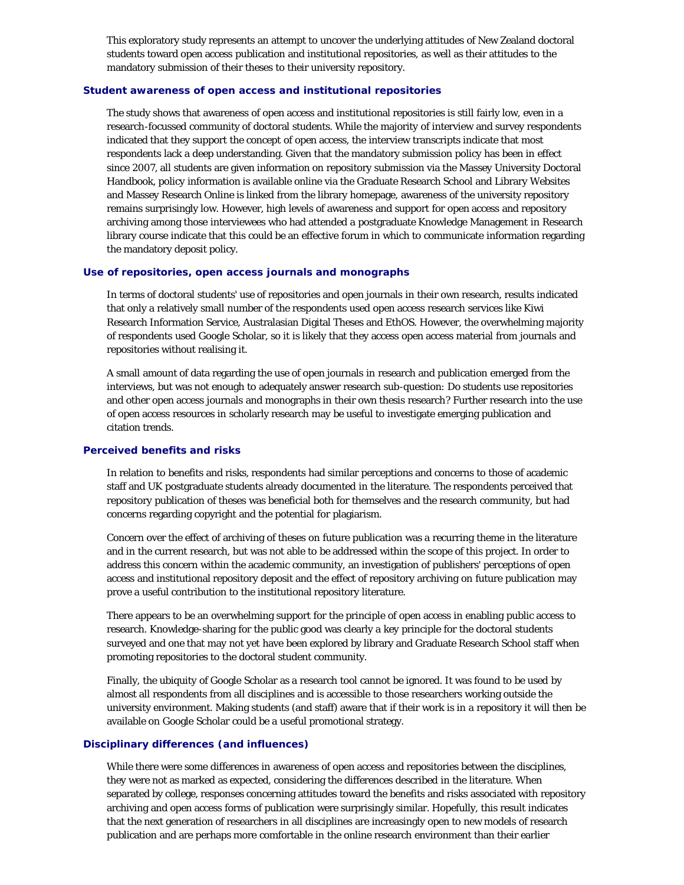This exploratory study represents an attempt to uncover the underlying attitudes of New Zealand doctoral students toward open access publication and institutional repositories, as well as their attitudes to the mandatory submission of their theses to their university repository.

# **Student awareness of open access and institutional repositories**

The study shows that awareness of open access and institutional repositories is still fairly low, even in a research-focussed community of doctoral students. While the majority of interview and survey respondents indicated that they support the concept of open access, the interview transcripts indicate that most respondents lack a deep understanding. Given that the mandatory submission policy has been in effect since 2007, all students are given information on repository submission via the Massey University Doctoral Handbook, policy information is available online via the Graduate Research School and Library Websites and Massey Research Online is linked from the library homepage, awareness of the university repository remains surprisingly low. However, high levels of awareness and support for open access and repository archiving among those interviewees who had attended a postgraduate Knowledge Management in Research library course indicate that this could be an effective forum in which to communicate information regarding the mandatory deposit policy.

# **Use of repositories, open access journals and monographs**

In terms of doctoral students' use of repositories and open journals in their own research, results indicated that only a relatively small number of the respondents used open access research services like Kiwi Research Information Service, Australasian Digital Theses and EthOS. However, the overwhelming majority of respondents used Google Scholar, so it is likely that they access open access material from journals and repositories without realising it.

A small amount of data regarding the use of open journals in research and publication emerged from the interviews, but was not enough to adequately answer research sub-question: Do students use repositories and other open access journals and monographs in their own thesis research? Further research into the use of open access resources in scholarly research may be useful to investigate emerging publication and citation trends.

#### **Perceived benefits and risks**

In relation to benefits and risks, respondents had similar perceptions and concerns to those of academic staff and UK postgraduate students already documented in the literature. The respondents perceived that repository publication of theses was beneficial both for themselves and the research community, but had concerns regarding copyright and the potential for plagiarism.

Concern over the effect of archiving of theses on future publication was a recurring theme in the literature and in the current research, but was not able to be addressed within the scope of this project. In order to address this concern within the academic community, an investigation of publishers' perceptions of open access and institutional repository deposit and the effect of repository archiving on future publication may prove a useful contribution to the institutional repository literature.

There appears to be an overwhelming support for the principle of open access in enabling public access to research. Knowledge-sharing for the public good was clearly a key principle for the doctoral students surveyed and one that may not yet have been explored by library and Graduate Research School staff when promoting repositories to the doctoral student community.

Finally, the ubiquity of Google Scholar as a research tool cannot be ignored. It was found to be used by almost all respondents from all disciplines and is accessible to those researchers working outside the university environment. Making students (and staff) aware that if their work is in a repository it will then be available on Google Scholar could be a useful promotional strategy.

# **Disciplinary differences (and influences)**

While there were some differences in awareness of open access and repositories between the disciplines, they were not as marked as expected, considering the differences described in the literature. When separated by college, responses concerning attitudes toward the benefits and risks associated with repository archiving and open access forms of publication were surprisingly similar. Hopefully, this result indicates that the next generation of researchers in all disciplines are increasingly open to new models of research publication and are perhaps more comfortable in the online research environment than their earlier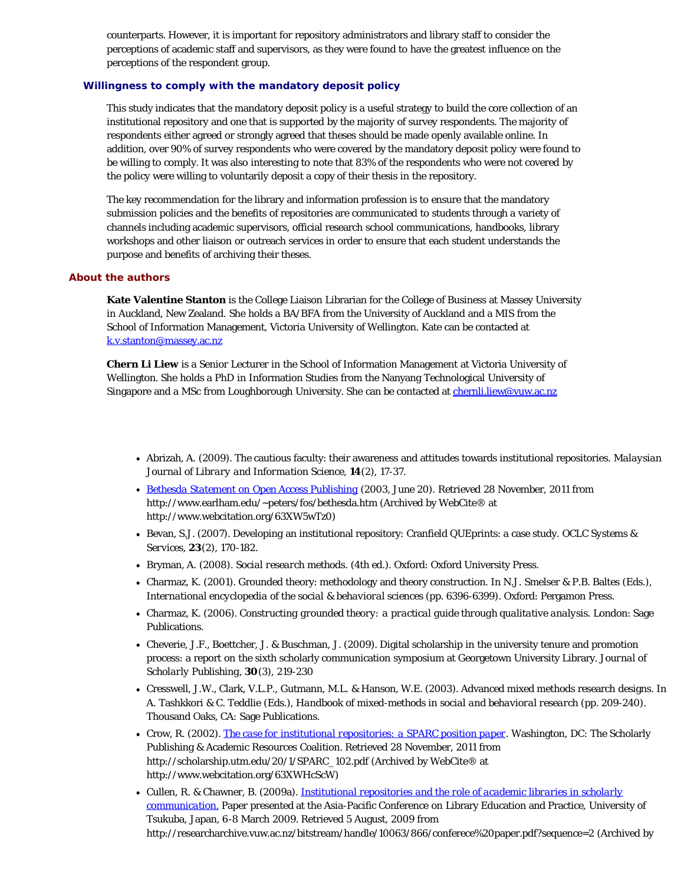counterparts. However, it is important for repository administrators and library staff to consider the perceptions of academic staff and supervisors, as they were found to have the greatest influence on the perceptions of the respondent group.

# **Willingness to comply with the mandatory deposit policy**

This study indicates that the mandatory deposit policy is a useful strategy to build the core collection of an institutional repository and one that is supported by the majority of survey respondents. The majority of respondents either agreed or strongly agreed that theses should be made openly available online. In addition, over 90% of survey respondents who were covered by the mandatory deposit policy were found to be willing to comply. It was also interesting to note that 83% of the respondents who were not covered by the policy were willing to voluntarily deposit a copy of their thesis in the repository.

The key recommendation for the library and information profession is to ensure that the mandatory submission policies and the benefits of repositories are communicated to students through a variety of channels including academic supervisors, official research school communications, handbooks, library workshops and other liaison or outreach services in order to ensure that each student understands the purpose and benefits of archiving their theses.

# <span id="page-19-0"></span>**About the authors**

**Kate Valentine Stanton** is the College Liaison Librarian for the College of Business at Massey University in Auckland, New Zealand. She holds a BA/BFA from the University of Auckland and a MIS from the School of Information Management, Victoria University of Wellington. Kate can be contacted at [k.v.stanton@massey.ac.nz](mailto:k.v.stanton@massey.ac.nz)

**Chern Li Liew** is a Senior Lecturer in the School of Information Management at Victoria University of Wellington. She holds a PhD in Information Studies from the Nanyang Technological University of Singapore and a MSc from Loughborough University. She can be contacted at [chernli.liew@vuw.ac.nz](mailto:chernli.liew@vuw.ac.nz)

- Abrizah, A. (2009). The cautious faculty: their awareness and attitudes towards institutional repositories. *Malaysian Journal of Library and Information Science,* **14**(2), 17-37.
- *[Bethesda Statement on Open Access Publishing](http://www.webcitation.org/63XW5wTz0)* (2003, June 20). Retrieved 28 November, 2011 from http://www.earlham.edu/~peters/fos/bethesda.htm (Archived by WebCite® at http://www.webcitation.org/63XW5wTz0)
- Bevan, S.J. (2007). Developing an institutional repository: Cranfield QUEprints: a case study. *OCLC Systems & Services,* **23**(2), 170-182.
- Bryman, A. (2008). *Social research methods*. (4th ed.). Oxford: Oxford University Press.
- Charmaz, K. (2001). Grounded theory: methodology and theory construction. In N.J. Smelser & P.B. Baltes (Eds.), *International encyclopedia of the social & behavioral sciences* (pp. 6396-6399). Oxford: Pergamon Press.
- Charmaz, K. (2006). *Constructing grounded theory: a practical guide through qualitative analysis.* London: Sage Publications.
- Cheverie, J.F., Boettcher, J. & Buschman, J. (2009). Digital scholarship in the university tenure and promotion process: a report on the sixth scholarly communication symposium at Georgetown University Library. *Journal of Scholarly Publishing,* **30**(3), 219-230
- Cresswell, J.W., Clark, V.L.P., Gutmann, M.L. & Hanson, W.E. (2003). Advanced mixed methods research designs. In A. Tashkkori & C. Teddlie (Eds.), *Handbook of mixed-methods in social and behavioral research* (pp. 209-240). Thousand Oaks, CA: Sage Publications.
- Crow, R. (2002). *[The case for institutional repositories: a SPARC position paper](http://www.webcitation.org/63XWHcScW)*. Washington, DC: The Scholarly Publishing & Academic Resources Coalition. Retrieved 28 November, 2011 from http://scholarship.utm.edu/20/1/SPARC\_102.pdf (Archived by WebCite® at http://www.webcitation.org/63XWHcScW)
- Cullen, R. & Chawner, B. (2009a). *[Institutional repositories and the role of academic libraries in scholarly](http://www.webcitation.org/63YVoAZgv) [communication.](http://www.webcitation.org/63YVoAZgv)* Paper presented at the Asia-Pacific Conference on Library Education and Practice, University of Tsukuba, Japan, 6-8 March 2009. Retrieved 5 August, 2009 from http://researcharchive.vuw.ac.nz/bitstream/handle/10063/866/conferece%20paper.pdf?sequence=2 (Archived by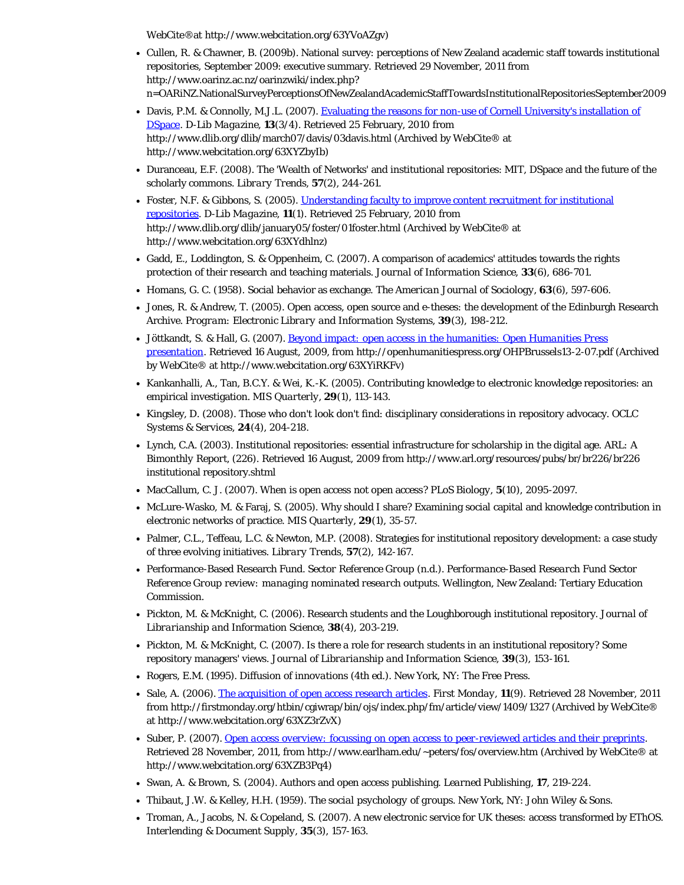WebCite®at http://www.webcitation.org/63YVoAZgv)

- Cullen, R. & Chawner, B. (2009b). National survey: perceptions of New Zealand academic staff towards institutional repositories, September 2009: executive summary. Retrieved 29 November, 2011 from http://www.oarinz.ac.nz/oarinzwiki/index.php? n=OARiNZ.NationalSurveyPerceptionsOfNewZealandAcademicStaffTowardsInstitutionalRepositoriesSeptember2009
- Davis, P.M. & Connolly, M.J.L. (2007). [Evaluating the reasons for non-use of Cornell University's installation of](http://www.webcitation.org/63XYZbyIb) [DSpace](http://www.webcitation.org/63XYZbyIb). *D-Lib Magazine,* **13**(3/4). Retrieved 25 February, 2010 from http://www.dlib.org/dlib/march07/davis/03davis.html (Archived by WebCite® at http://www.webcitation.org/63XYZbyIb)
- Duranceau, E.F. (2008). The 'Wealth of Networks' and institutional repositories: MIT, DSpace and the future of the scholarly commons. *Library Trends,* **57**(2), 244-261.
- Foster, N.F. & Gibbons, S. (2005). [Understanding faculty to improve content recruitment for institutional](http://www.webcitation.org/63XYdhlnz) [repositories.](http://www.webcitation.org/63XYdhlnz) *D-Lib Magazine,* **11**(1). Retrieved 25 February, 2010 from http://www.dlib.org/dlib/january05/foster/01foster.html (Archived by WebCite® at http://www.webcitation.org/63XYdhlnz)
- Gadd, E., Loddington, S. & Oppenheim, C. (2007). A comparison of academics' attitudes towards the rights protection of their research and teaching materials. *Journal of Information Science,* **33**(6), 686-701.
- Homans, G. C. (1958). Social behavior as exchange. *The American Journal of Sociology,* **63**(6), 597-606.
- Jones, R. & Andrew, T. (2005). Open access, open source and e-theses: the development of the Edinburgh Research Archive. *Program: Electronic Library and Information Systems,* **39**(3), 198-212.
- Jöttkandt, S. & Hall, G. (2007). *[Beyond impact: open access in the humanities: Open Humanities Press](http://www.webcitation.org/63XYiRKFv) [presentation](http://www.webcitation.org/63XYiRKFv)*. Retrieved 16 August, 2009, from http://openhumanitiespress.org/OHPBrussels13-2-07.pdf (Archived by WebCite® at http://www.webcitation.org/63XYiRKFv)
- Kankanhalli, A., Tan, B.C.Y. & Wei, K.-K. (2005). Contributing knowledge to electronic knowledge repositories: an empirical investigation. *MIS Quarterly,* **29**(1), 113-143.
- Kingsley, D. (2008). Those who don't look don't find: disciplinary considerations in repository advocacy. *OCLC Systems & Services,* **24**(4), 204-218.
- Lynch, C.A. (2003). Institutional repositories: essential infrastructure for scholarship in the digital age. *ARL: A Bimonthly Report,* (226). Retrieved 16 August, 2009 from http://www.arl.org/resources/pubs/br/br226/br226 institutional repository.shtml
- MacCallum, C. J. (2007). When is open access not open access? *PLoS Biology,* **5**(10), 2095-2097.
- McLure-Wasko, M. & Faraj, S. (2005). Why should I share? Examining social capital and knowledge contribution in electronic networks of practice. *MIS Quarterly,* **29**(1), 35-57.
- Palmer, C.L., Teffeau, L.C. & Newton, M.P. (2008). Strategies for institutional repository development: a case study of three evolving initiatives. *Library Trends,* **57**(2), 142-167.
- Performance-Based Research Fund. *Sector Reference Group* (n.d.). *Performance-Based Research Fund Sector Reference Group review: managing nominated research outputs.* Wellington, New Zealand: Tertiary Education Commission.
- Pickton, M. & McKnight, C. (2006). Research students and the Loughborough institutional repository. *Journal of Librarianship and Information Science,* **38**(4), 203-219.
- Pickton, M. & McKnight, C. (2007). Is there a role for research students in an institutional repository? Some repository managers' views. *Journal of Librarianship and Information Science,* **39**(3), 153-161.
- Rogers, E.M. (1995). *Diffusion of innovations* (4th ed.). New York, NY: The Free Press.
- Sale, A. (2006). [The acquisition of open access research articles.](http://www.webcitation.org/63XZ3rZvX) *First Monday,* **11**(9). Retrieved 28 November, 2011 from http://firstmonday.org/htbin/cgiwrap/bin/ojs/index.php/fm/article/view/1409/1327 (Archived by WebCite® at http://www.webcitation.org/63XZ3rZvX)
- Suber, P. (2007). *[Open access overview: focussing on open access to peer-reviewed articles and their preprints](http://www.webcitation.org/63XZB3Pq4).* Retrieved 28 November, 2011, from http://www.earlham.edu/~peters/fos/overview.htm (Archived by WebCite® at http://www.webcitation.org/63XZB3Pq4)
- Swan, A. & Brown, S. (2004). Authors and open access publishing. *Learned Publishing,* **17**, 219-224.
- Thibaut, J.W. & Kelley, H.H. (1959). *The social psychology of groups.* New York, NY: John Wiley & Sons.
- Troman, A., Jacobs, N. & Copeland, S. (2007). A new electronic service for UK theses: access transformed by EThOS. *Interlending & Document Supply,* **35**(3), 157-163.